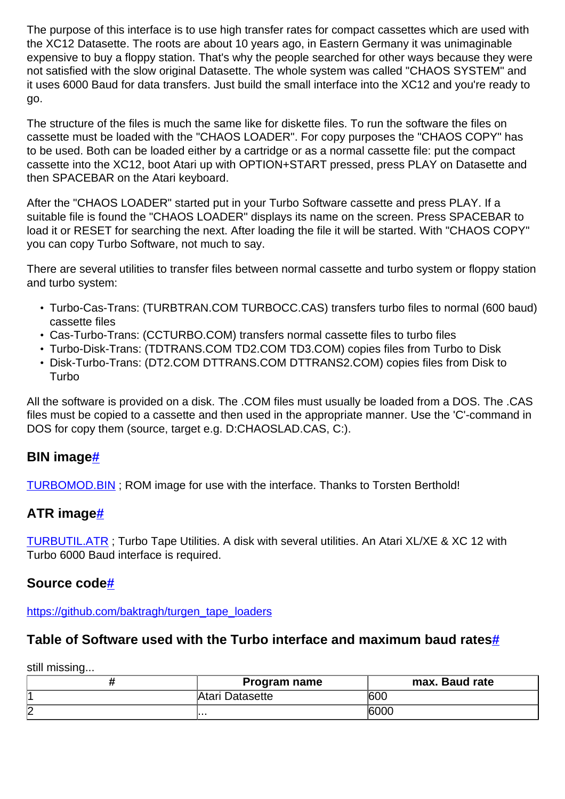The purpose of this interface is to use high transfer rates for compact cassettes which are used with the XC12 Datasette. The roots are about 10 years ago, in Eastern Germany it was unimaginable expensive to buy a floppy station. That's why the people searched for other ways because they were not satisfied with the slow original Datasette. The whole system was called "CHAOS SYSTEM" and it uses 6000 Baud for data transfers. Just build the small interface into the XC12 and you're ready to go.

The structure of the files is much the same like for diskette files. To run the software the files on cassette must be loaded with the "CHAOS LOADER". For copy purposes the "CHAOS COPY" has to be used. Both can be loaded either by a cartridge or as a normal cassette file: put the compact cassette into the XC12, boot Atari up with OPTION+START pressed, press PLAY on Datasette and then SPACEBAR on the Atari keyboard.

After the "CHAOS LOADER" started put in your Turbo Software cassette and press PLAY. If a suitable file is found the "CHAOS LOADER" displays its name on the screen. Press SPACEBAR to load it or RESET for searching the next. After loading the file it will be started. With "CHAOS COPY" you can copy Turbo Software, not much to say.

There are several utilities to transfer files between normal cassette and turbo system or floppy station and turbo system:

- Turbo-Cas-Trans: (TURBTRAN.COM TURBOCC.CAS) transfers turbo files to normal (600 baud) cassette files
- Cas-Turbo-Trans: (CCTURBO.COM) transfers normal cassette files to turbo files
- Turbo-Disk-Trans: (TDTRANS.COM TD2.COM TD3.COM) copies files from Turbo to Disk
- Disk-Turbo-Trans: (DT2.COM DTTRANS.COM DTTRANS2.COM) copies files from Disk to Turbo

All the software is provided on a disk. The .COM files must usually be loaded from a DOS. The .CAS files must be copied to a cassette and then used in the appropriate manner. Use the 'C'-command in DOS for copy them (source, target e.g. D:CHAOSLAD.CAS, C:).

### **BIN imag[e#](http://[fd00::119]:8080/wiki/#section-Atari+Datasette+XC12+Turbo+6000+Baud+Interface-BINImage)**

[TURBOMOD.BIN](http://[fd00::119]:8080/wiki//wiki/attach/Atari%20Datasette%20XC12%20Turbo%206000%20Baud%20Interface/TURBOMOD.BIN) ; ROM image for use with the interface. Thanks to Torsten Berthold!

#### **ATR image[#](http://[fd00::119]:8080/wiki/#section-Atari+Datasette+XC12+Turbo+6000+Baud+Interface-ATRImage)**

[TURBUTIL.ATR](http://[fd00::119]:8080/wiki//wiki/attach/Atari%20Datasette%20XC12%20Turbo%206000%20Baud%20Interface/TURBUTIL.ATR) ; Turbo Tape Utilities. A disk with several utilities. An Atari XL/XE & XC 12 with Turbo 6000 Baud interface is required.

#### **Source code[#](http://[fd00::119]:8080/wiki/#section-Atari+Datasette+XC12+Turbo+6000+Baud+Interface-SourceCode)**

[https://github.com/baktragh/turgen\\_tape\\_loaders](https://github.com/baktragh/turgen_tape_loaders)

#### **Table of Software used with the Turbo interface and maximum baud rate[s#](http://[fd00::119]:8080/wiki/#section-Atari+Datasette+XC12+Turbo+6000+Baud+Interface-TableOfSoftwareUsedWithTheTurboInterfaceAndMaximumBaudRates)**

still missing...

|        | Program name    | max. Baud rate |
|--------|-----------------|----------------|
|        | Atari Datasette | 600            |
| n<br>⊻ | .               | 6000           |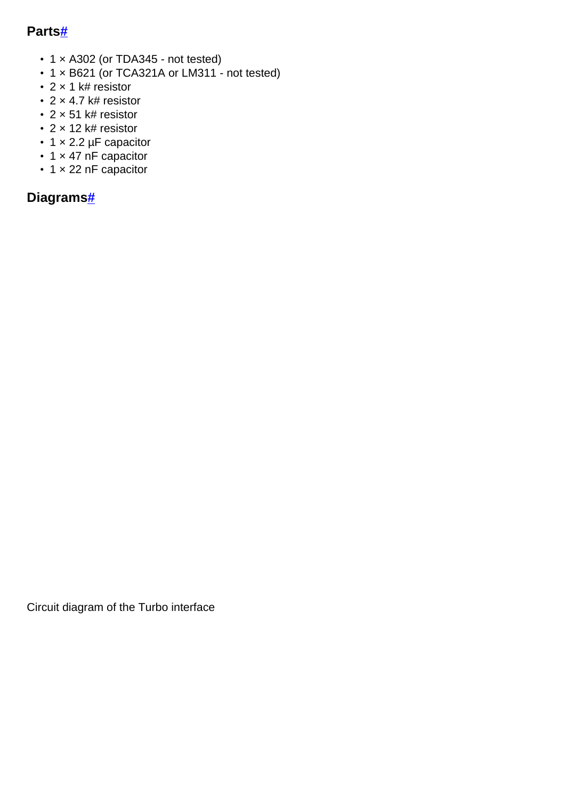## **Part[s#](http://[fd00::119]:8080/wiki/#section-Atari+Datasette+XC12+Turbo+6000+Baud+Interface-Parts)**

- 1 x A302 (or TDA345 not tested)
- 1 × B621 (or TCA321A or LM311 not tested)
- 2 x 1 k# resistor
- $\cdot$  2  $\times$  4.7 k# resistor
- 2 × 51 k# resistor
- 2 × 12 k# resistor
- 1 x 2.2 µF capacitor
- 1 × 47 nF capacitor
- 1 × 22 nF capacitor

# **Diagram[s#](http://[fd00::119]:8080/wiki/#section-Atari+Datasette+XC12+Turbo+6000+Baud+Interface-Diagrams)**

Circuit diagram of the Turbo interface